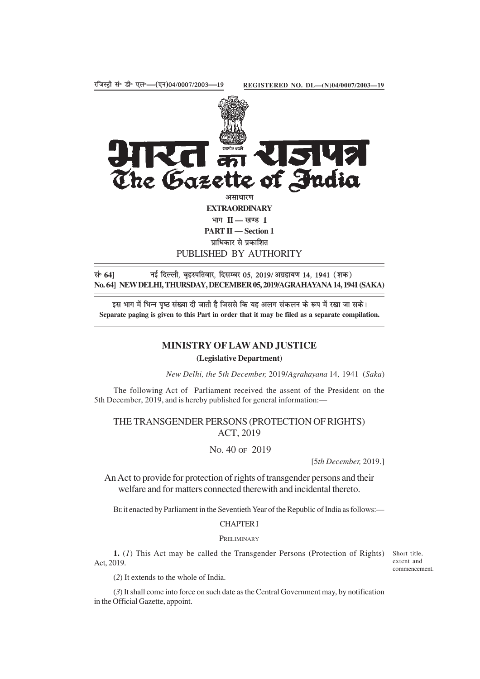

**PART II — Section 1** प्राधिकार से प्रकाशित PUBLISHED BY AUTHORITY

lañ **64]** ubZ fnYyh] c`gLifrokj] fnlEcj 05] 2019@vxzgk;.k 14] 1941 ¼'kd½ **No. 64] NEW DELHI, THURSDAY, DECEMBER 05, 2019/AGRAHAYANA 14, 1941 (SAKA)**

इस भाग में भिन्न पृष्ठ संख्या दी जाती है जिससे कि यह अलग संकलन के रूप में रखा जा सके। **Separate paging is given to this Part in order that it may be filed as a separate compilation.**

# **MINISTRY OF LAW AND JUSTICE**

## **(Legislative Department)**

*New Delhi, the* 5*th December,* 2019/*Agrahayana* 14*,* 1941 (*Saka*)

The following Act of Parliament received the assent of the President on the 5th December, 2019, and is hereby published for general information:—

## THE TRANSGENDER PERSONS (PROTECTION OF RIGHTS) ACT, 2019

NO. 40 OF 2019

[5*th December,* 2019.]

An Act to provide for protection of rights of transgender persons and their welfare and for matters connected therewith and incidental thereto.

BE it enacted by Parliament in the Seventieth Year of the Republic of India as follows:—

## CHAPTER I

#### **PRELIMINARY**

1. (1) This Act may be called the Transgender Persons (Protection of Rights) Short title, Act, 2019.

extent and commencement.

(*2*) It extends to the whole of India.

(*3*) It shall come into force on such date as the Central Government may, by notification in the Official Gazette, appoint.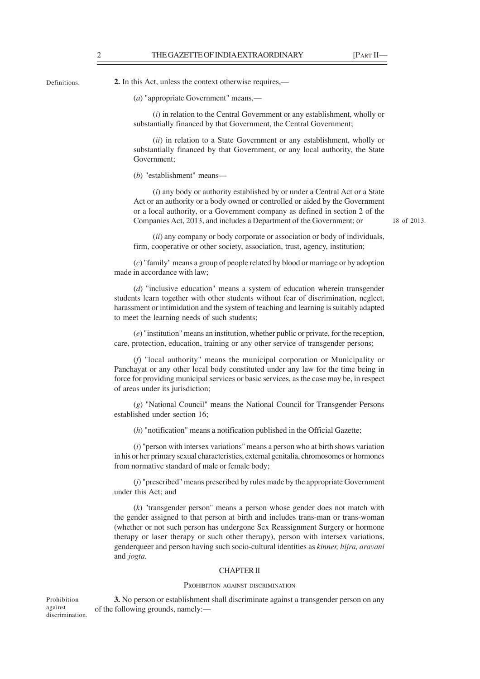**Definitions** 

against

**2.** In this Act, unless the context otherwise requires,—

(*a*) "appropriate Government" means,—

(*i*) in relation to the Central Government or any establishment, wholly or substantially financed by that Government, the Central Government;

(*ii*) in relation to a State Government or any establishment, wholly or substantially financed by that Government, or any local authority, the State Government;

(*b*) "establishment" means—

(*i*) any body or authority established by or under a Central Act or a State Act or an authority or a body owned or controlled or aided by the Government or a local authority, or a Government company as defined in section 2 of the Companies Act, 2013, and includes a Department of the Government; or

18 of 2013.

(*ii*) any company or body corporate or association or body of individuals, firm, cooperative or other society, association, trust, agency, institution;

(*c*) "family" means a group of people related by blood or marriage or by adoption made in accordance with law;

(*d*) "inclusive education" means a system of education wherein transgender students learn together with other students without fear of discrimination, neglect, harassment or intimidation and the system of teaching and learning is suitably adapted to meet the learning needs of such students;

(*e*) "institution" means an institution, whether public or private, for the reception, care, protection, education, training or any other service of transgender persons;

(*f*) "local authority" means the municipal corporation or Municipality or Panchayat or any other local body constituted under any law for the time being in force for providing municipal services or basic services, as the case may be, in respect of areas under its jurisdiction;

(*g*) "National Council" means the National Council for Transgender Persons established under section 16;

(*h*) "notification" means a notification published in the Official Gazette;

(*i*) "person with intersex variations" means a person who at birth shows variation in his or her primary sexual characteristics, external genitalia, chromosomes or hormones from normative standard of male or female body;

(*j*) "prescribed" means prescribed by rules made by the appropriate Government under this Act; and

(*k*) "transgender person" means a person whose gender does not match with the gender assigned to that person at birth and includes trans-man or trans-woman (whether or not such person has undergone Sex Reassignment Surgery or hormone therapy or laser therapy or such other therapy), person with intersex variations, genderqueer and person having such socio-cultural identities as *kinner, hijra, aravani* and *jogta.*

### CHAPTER II

#### PROHIBITION AGAINST DISCRIMINATION

**3.** No person or establishment shall discriminate against a transgender person on any of the following grounds, namely:— Prohibition discrimination.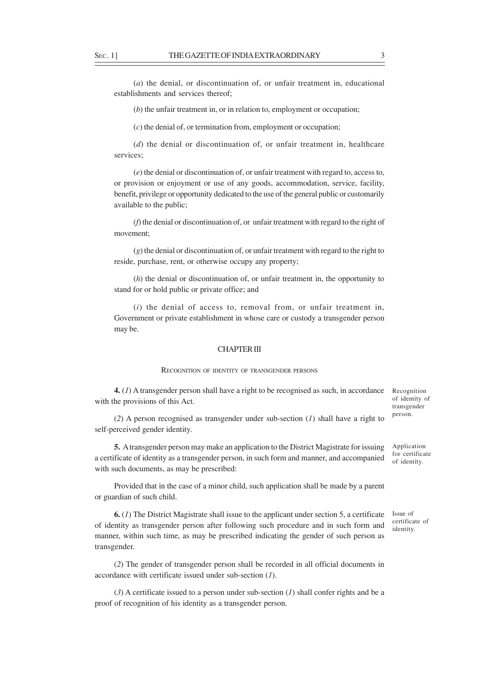(*a*) the denial, or discontinuation of, or unfair treatment in, educational establishments and services thereof;

(*b*) the unfair treatment in, or in relation to, employment or occupation;

(*c*) the denial of, or termination from, employment or occupation;

(*d*) the denial or discontinuation of, or unfair treatment in, healthcare services;

(*e*) the denial or discontinuation of, or unfair treatment with regard to, access to, or provision or enjoyment or use of any goods, accommodation, service, facility, benefit, privilege or opportunity dedicated to the use of the general public or customarily available to the public;

(*f*) the denial or discontinuation of, or unfair treatment with regard to the right of movement;

(*g*) the denial or discontinuation of, or unfair treatment with regard to the right to reside, purchase, rent, or otherwise occupy any property;

(*h*) the denial or discontinuation of, or unfair treatment in, the opportunity to stand for or hold public or private office; and

(*i*) the denial of access to, removal from, or unfair treatment in, Government or private establishment in whose care or custody a transgender person may be.

## CHAPTER III

#### RECOGNITION OF IDENTITY OF TRANSGENDER PERSONS

**4.** (*1*) A transgender person shall have a right to be recognised as such, in accordance with the provisions of this Act.

Recognition of identity of transgender person.

(*2*) A person recognised as transgender under sub-section (*1*) shall have a right to self-perceived gender identity.

**5.** A transgender person may make an application to the District Magistrate for issuing a certificate of identity as a transgender person, in such form and manner, and accompanied with such documents, as may be prescribed:

Provided that in the case of a minor child, such application shall be made by a parent or guardian of such child.

**6.** (*1*) The District Magistrate shall issue to the applicant under section 5, a certificate of identity as transgender person after following such procedure and in such form and manner, within such time, as may be prescribed indicating the gender of such person as transgender.

(*2*) The gender of transgender person shall be recorded in all official documents in accordance with certificate issued under sub-section (*1*).

(*3*) A certificate issued to a person under sub-section (*1*) shall confer rights and be a proof of recognition of his identity as a transgender person.

Application for certificate of identity.

Issue of certificate of identity.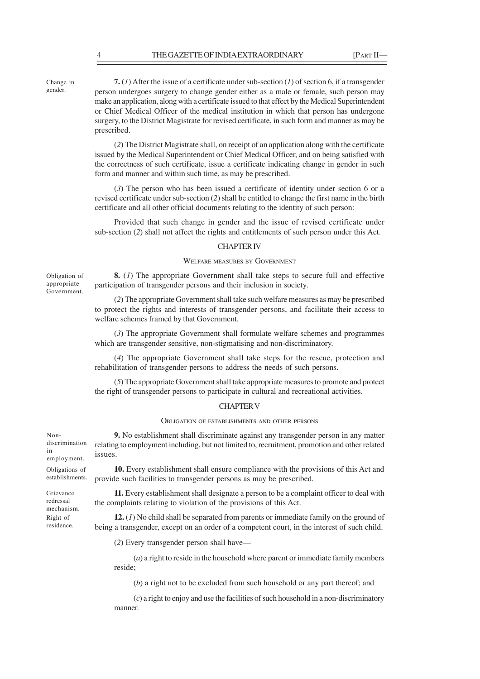Change in gender.

**7.** (*1*) After the issue of a certificate under sub-section (*1*) of section 6, if a transgender person undergoes surgery to change gender either as a male or female, such person may make an application, along with a certificate issued to that effect by the Medical Superintendent or Chief Medical Officer of the medical institution in which that person has undergone surgery, to the District Magistrate for revised certificate, in such form and manner as may be prescribed.

(*2*) The District Magistrate shall, on receipt of an application along with the certificate issued by the Medical Superintendent or Chief Medical Officer, and on being satisfied with the correctness of such certificate, issue a certificate indicating change in gender in such form and manner and within such time, as may be prescribed.

(*3*) The person who has been issued a certificate of identity under section 6 or a revised certificate under sub-section (*2*) shall be entitled to change the first name in the birth certificate and all other official documents relating to the identity of such person:

Provided that such change in gender and the issue of revised certificate under sub-section (*2*) shall not affect the rights and entitlements of such person under this Act.

#### CHAPTER IV

### WELFARE MEASURES BY GOVERNMENT

**8.** (*1*) The appropriate Government shall take steps to secure full and effective participation of transgender persons and their inclusion in society.

(*2*) The appropriate Government shall take such welfare measures as may be prescribed to protect the rights and interests of transgender persons, and facilitate their access to welfare schemes framed by that Government.

(*3*) The appropriate Government shall formulate welfare schemes and programmes which are transgender sensitive, non-stigmatising and non-discriminatory.

(*4*) The appropriate Government shall take steps for the rescue, protection and rehabilitation of transgender persons to address the needs of such persons.

(*5*) The appropriate Government shall take appropriate measures to promote and protect the right of transgender persons to participate in cultural and recreational activities.

#### CHAPTER V

#### OBLIGATION OF ESTABLISHMENTS AND OTHER PERSONS

**9.** No establishment shall discriminate against any transgender person in any matter relating to employment including, but not limited to, recruitment, promotion and other related issues.

**10.** Every establishment shall ensure compliance with the provisions of this Act and provide such facilities to transgender persons as may be prescribed.

**11.** Every establishment shall designate a person to be a complaint officer to deal with the complaints relating to violation of the provisions of this Act.

**12.** (*1*) No child shall be separated from parents or immediate family on the ground of being a transgender, except on an order of a competent court, in the interest of such child.

(*2*) Every transgender person shall have—

(*a*) a right to reside in the household where parent or immediate family members reside;

(*b*) a right not to be excluded from such household or any part thereof; and

(*c*) a right to enjoy and use the facilities of such household in a non-discriminatory manner.

Nondiscrimination in employment.

Obligation of appropriate Government.

Obligations of establishments.

Grievance redressal mechanism. Right of residence.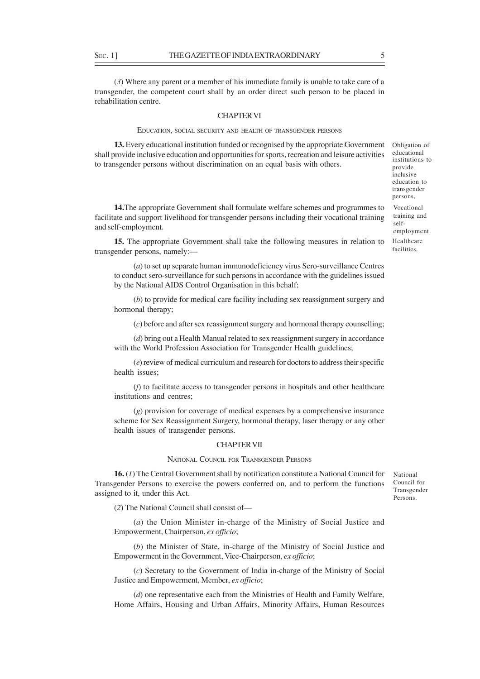(*3*) Where any parent or a member of his immediate family is unable to take care of a transgender, the competent court shall by an order direct such person to be placed in rehabilitation centre.

#### CHAPTER VI

#### EDUCATION, SOCIAL SECURITY AND HEALTH OF TRANSGENDER PERSONS

**13.** Every educational institution funded or recognised by the appropriate Government shall provide inclusive education and opportunities for sports, recreation and leisure activities to transgender persons without discrimination on an equal basis with others.

**14.**The appropriate Government shall formulate welfare schemes and programmes to facilitate and support livelihood for transgender persons including their vocational training and self-employment.

**15.** The appropriate Government shall take the following measures in relation to transgender persons, namely:—

(*a*) to set up separate human immunodeficiency virus Sero-surveillance Centres to conduct sero-surveillance for such persons in accordance with the guidelines issued by the National AIDS Control Organisation in this behalf;

(*b*) to provide for medical care facility including sex reassignment surgery and hormonal therapy;

(*c*) before and after sex reassignment surgery and hormonal therapy counselling;

(*d*) bring out a Health Manual related to sex reassignment surgery in accordance with the World Profession Association for Transgender Health guidelines;

(*e*) review of medical curriculum and research for doctors to address their specific health issues;

(*f*) to facilitate access to transgender persons in hospitals and other healthcare institutions and centres;

(*g*) provision for coverage of medical expenses by a comprehensive insurance scheme for Sex Reassignment Surgery, hormonal therapy, laser therapy or any other health issues of transgender persons.

## CHAPTER VII

#### NATIONAL COUNCIL FOR TRANSGENDER PERSONS

**16.** (*1*) The Central Government shall by notification constitute a National Council for Transgender Persons to exercise the powers conferred on, and to perform the functions assigned to it, under this Act.

National Council for Transgender Persons.

(*2*) The National Council shall consist of—

(*a*) the Union Minister in-charge of the Ministry of Social Justice and Empowerment, Chairperson, *ex officio*;

(*b*) the Minister of State, in-charge of the Ministry of Social Justice and Empowerment in the Government, Vice-Chairperson, *ex officio*;

(*c*) Secretary to the Government of India in-charge of the Ministry of Social Justice and Empowerment, Member, *ex officio*;

(*d*) one representative each from the Ministries of Health and Family Welfare, Home Affairs, Housing and Urban Affairs, Minority Affairs, Human Resources

Obligation of educational institutions to provide inclusive education to transgender

Vocational training and selfemployment. Healthcare facilities.

persons.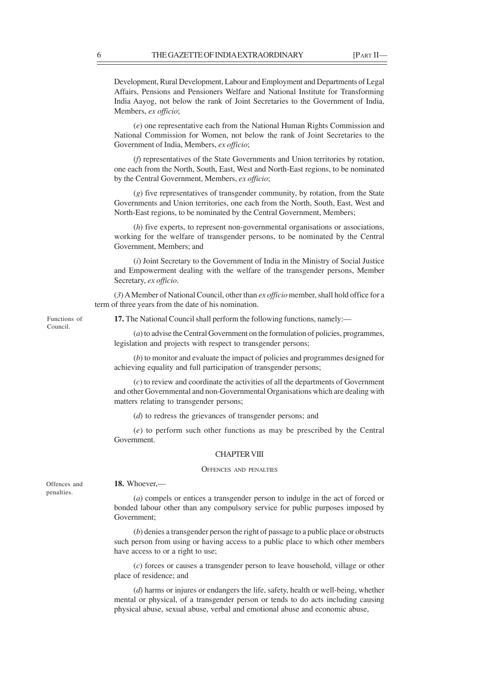Development, Rural Development, Labour and Employment and Departments of Legal Affairs, Pensions and Pensioners Welfare and National Institute for Transforming India Aayog, not below the rank of Joint Secretaries to the Government of India, Members, *ex officio*;

(*e*) one representative each from the National Human Rights Commission and National Commission for Women, not below the rank of Joint Secretaries to the Government of India, Members, *ex officio*;

(*f*) representatives of the State Governments and Union territories by rotation, one each from the North, South, East, West and North-East regions, to be nominated by the Central Government, Members, *ex officio*;

(*g*) five representatives of transgender community, by rotation, from the State Governments and Union territories, one each from the North, South, East, West and North-East regions, to be nominated by the Central Government, Members;

(*h*) five experts, to represent non-governmental organisations or associations, working for the welfare of transgender persons, to be nominated by the Central Government, Members; and

(*i*) Joint Secretary to the Government of India in the Ministry of Social Justice and Empowerment dealing with the welfare of the transgender persons, Member Secretary, *ex officio*.

(*3*) A Member of National Council, other than *ex officio* member, shall hold office for a term of three years from the date of his nomination.

Functions of Council.

Offences and penalties.

**17.** The National Council shall perform the following functions, namely:—

(*a*) to advise the Central Government on the formulation of policies, programmes, legislation and projects with respect to transgender persons;

(*b*) to monitor and evaluate the impact of policies and programmes designed for achieving equality and full participation of transgender persons;

(*c*) to review and coordinate the activities of all the departments of Government and other Governmental and non-Governmental Organisations which are dealing with matters relating to transgender persons;

(*d*) to redress the grievances of transgender persons; and

(*e*) to perform such other functions as may be prescribed by the Central Government.

#### CHAPTER VIII

#### OFFENCES AND PENALTIES

**18.** Whoever,—

(*a*) compels or entices a transgender person to indulge in the act of forced or bonded labour other than any compulsory service for public purposes imposed by Government;

(*b*) denies a transgender person the right of passage to a public place or obstructs such person from using or having access to a public place to which other members have access to or a right to use;

(*c*) forces or causes a transgender person to leave household, village or other place of residence; and

(*d*) harms or injures or endangers the life, safety, health or well-being, whether mental or physical, of a transgender person or tends to do acts including causing physical abuse, sexual abuse, verbal and emotional abuse and economic abuse,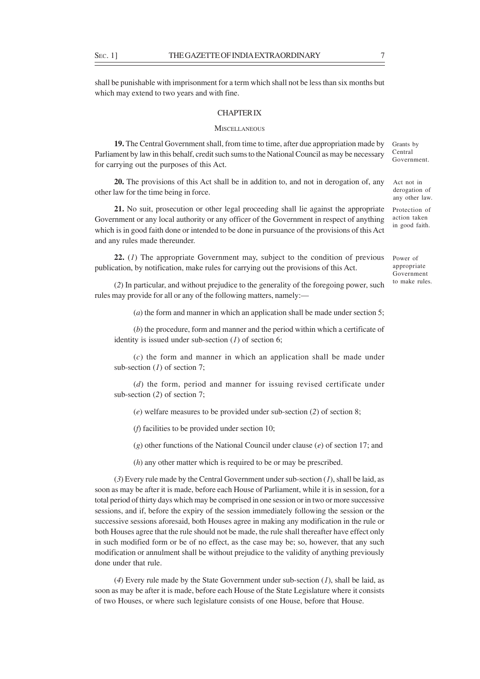shall be punishable with imprisonment for a term which shall not be less than six months but which may extend to two years and with fine.

## CHAPTER IX

### **MISCELLANEOUS**

**19.** The Central Government shall, from time to time, after due appropriation made by Parliament by law in this behalf, credit such sums to the National Council as may be necessary for carrying out the purposes of this Act.

**20.** The provisions of this Act shall be in addition to, and not in derogation of, any other law for the time being in force.

**21.** No suit, prosecution or other legal proceeding shall lie against the appropriate Government or any local authority or any officer of the Government in respect of anything which is in good faith done or intended to be done in pursuance of the provisions of this Act and any rules made thereunder.

**22.** (*1*) The appropriate Government may, subject to the condition of previous publication, by notification, make rules for carrying out the provisions of this Act.

(*2*) In particular, and without prejudice to the generality of the foregoing power, such rules may provide for all or any of the following matters, namely:—

(*a*) the form and manner in which an application shall be made under section 5;

(*b*) the procedure, form and manner and the period within which a certificate of identity is issued under sub-section (*1*) of section 6;

(*c*) the form and manner in which an application shall be made under sub-section (*1*) of section 7;

(*d*) the form, period and manner for issuing revised certificate under sub-section (*2*) of section 7;

(*e*) welfare measures to be provided under sub-section (*2*) of section 8;

(*f*) facilities to be provided under section 10;

(*g*) other functions of the National Council under clause (*e*) of section 17; and

(*h*) any other matter which is required to be or may be prescribed.

(*3*) Every rule made by the Central Government under sub-section (*1*), shall be laid, as soon as may be after it is made, before each House of Parliament, while it is in session, for a total period of thirty days which may be comprised in one session or in two or more successive sessions, and if, before the expiry of the session immediately following the session or the successive sessions aforesaid, both Houses agree in making any modification in the rule or both Houses agree that the rule should not be made, the rule shall thereafter have effect only in such modified form or be of no effect, as the case may be; so, however, that any such modification or annulment shall be without prejudice to the validity of anything previously done under that rule.

(*4*) Every rule made by the State Government under sub-section (*1*), shall be laid, as soon as may be after it is made, before each House of the State Legislature where it consists of two Houses, or where such legislature consists of one House, before that House.

Act not in derogation of any other law.

Protection of action taken in good faith.

Power of appropriate Government to make rules.